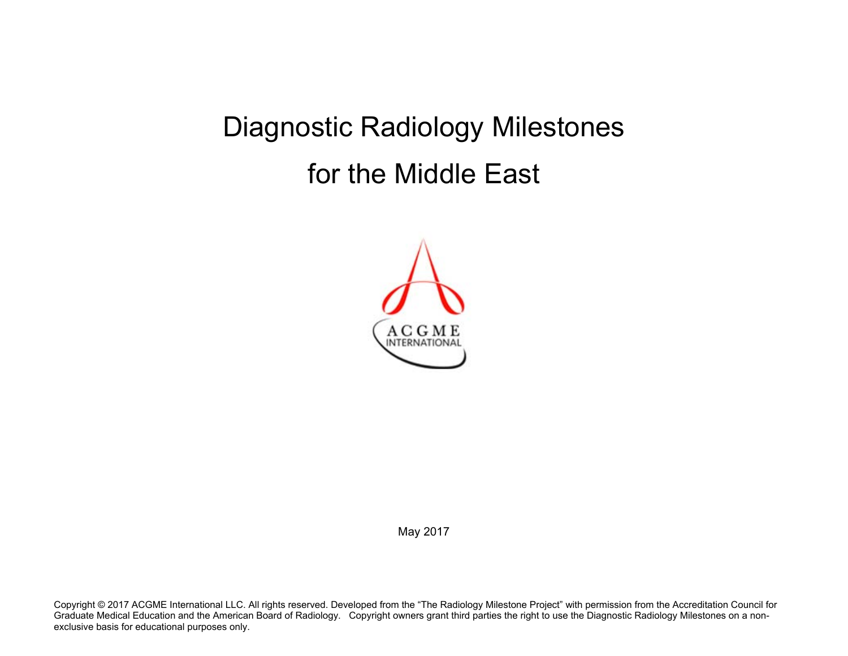# Diagnostic Radiology Milestones for the Middle East



May 2017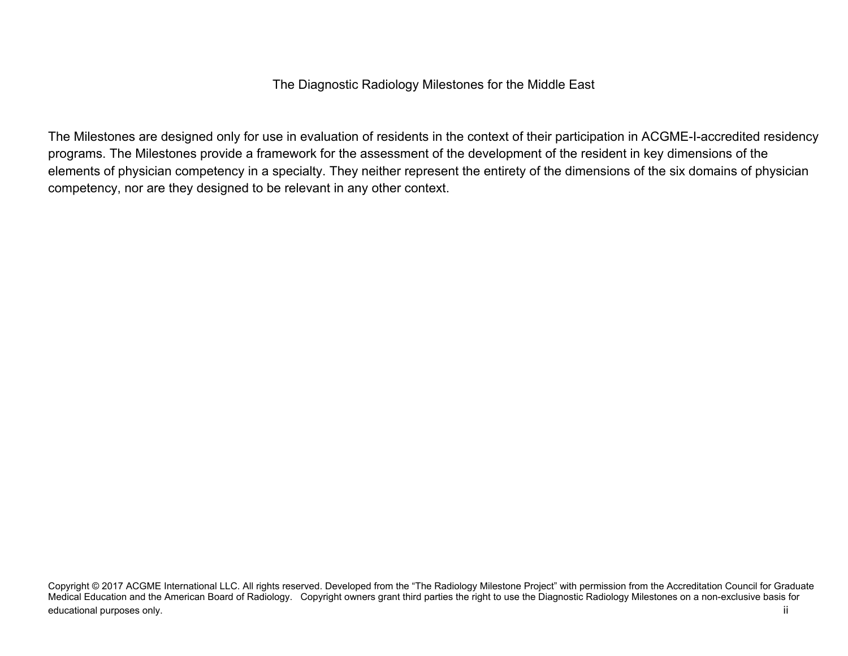The Diagnostic Radiology Milestones for the Middle East

The Milestones are designed only for use in evaluation of residents in the context of their participation in ACGME-I-accredited residency programs. The Milestones provide a framework for the assessment of the development of the resident in key dimensions of the elements of physician competency in a specialty. They neither represent the entirety of the dimensions of the six domains of physician competency, nor are they designed to be relevant in any other context.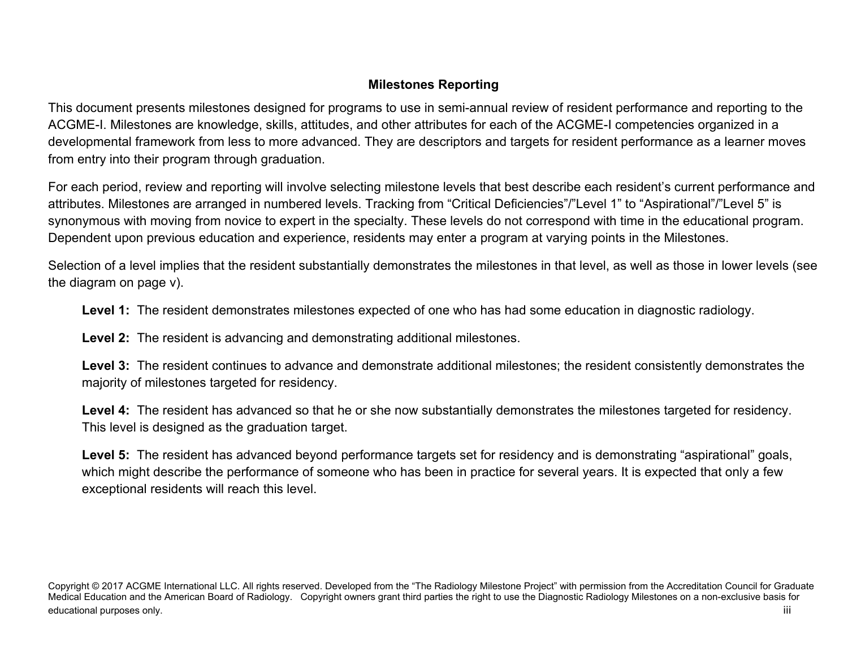# **Milestones Reporting**

This document presents milestones designed for programs to use in semi-annual review of resident performance and reporting to the ACGME-I. Milestones are knowledge, skills, attitudes, and other attributes for each of the ACGME-I competencies organized in a developmental framework from less to more advanced. They are descriptors and targets for resident performance as a learner moves from entry into their program through graduation.

For each period, review and reporting will involve selecting milestone levels that best describe each resident's current performance and attributes. Milestones are arranged in numbered levels. Tracking from "Critical Deficiencies"/"Level 1" to "Aspirational"/"Level 5" is synonymous with moving from novice to expert in the specialty. These levels do not correspond with time in the educational program. Dependent upon previous education and experience, residents may enter a program at varying points in the Milestones.

Selection of a level implies that the resident substantially demonstrates the milestones in that level, as well as those in lower levels (see the diagram on page v).

**Level 1:** The resident demonstrates milestones expected of one who has had some education in diagnostic radiology.

**Level 2:** The resident is advancing and demonstrating additional milestones.

**Level 3:** The resident continues to advance and demonstrate additional milestones; the resident consistently demonstrates the majority of milestones targeted for residency.

**Level 4:** The resident has advanced so that he or she now substantially demonstrates the milestones targeted for residency. This level is designed as the graduation target.

**Level 5:** The resident has advanced beyond performance targets set for residency and is demonstrating "aspirational" goals, which might describe the performance of someone who has been in practice for several years. It is expected that only a few exceptional residents will reach this level.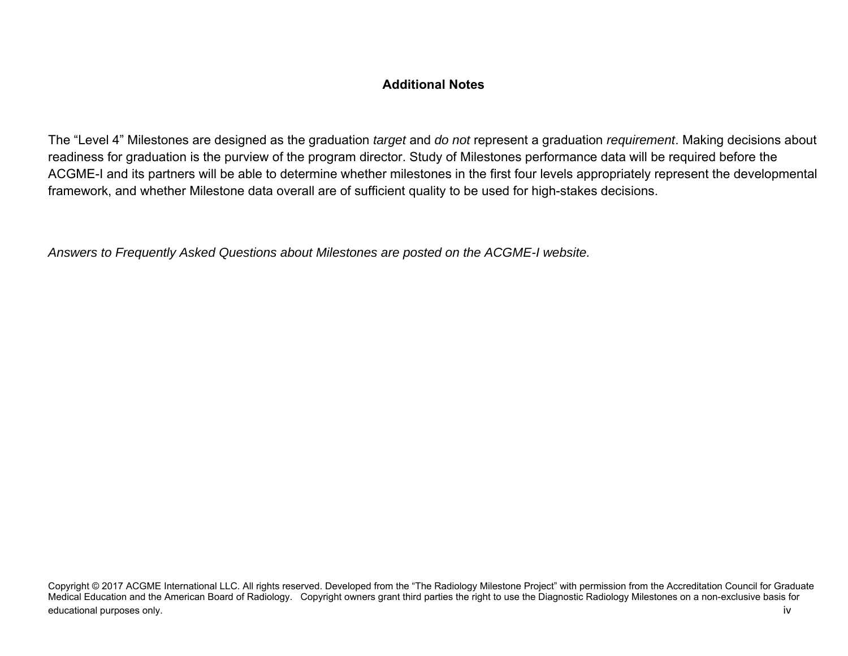# **Additional Notes**

The "Level 4" Milestones are designed as the graduation *target* and *do not* represent a graduation *requirement*. Making decisions about readiness for graduation is the purview of the program director. Study of Milestones performance data will be required before the ACGME-I and its partners will be able to determine whether milestones in the first four levels appropriately represent the developmental framework, and whether Milestone data overall are of sufficient quality to be used for high-stakes decisions.

*Answers to Frequently Asked Questions about Milestones are posted on the ACGME-I website.* 

Copyright © 2017 ACGME International LLC. All rights reserved. Developed from the "The Radiology Milestone Project" with permission from the Accreditation Council for Graduate Medical Education and the American Board of Radiology. Copyright owners grant third parties the right to use the Diagnostic Radiology Milestones on a non-exclusive basis for educational purposes only. The contract of the contract of the contract of the contract of the contract of the contract of the contract of the contract of the contract of the contract of the contract of the contract of the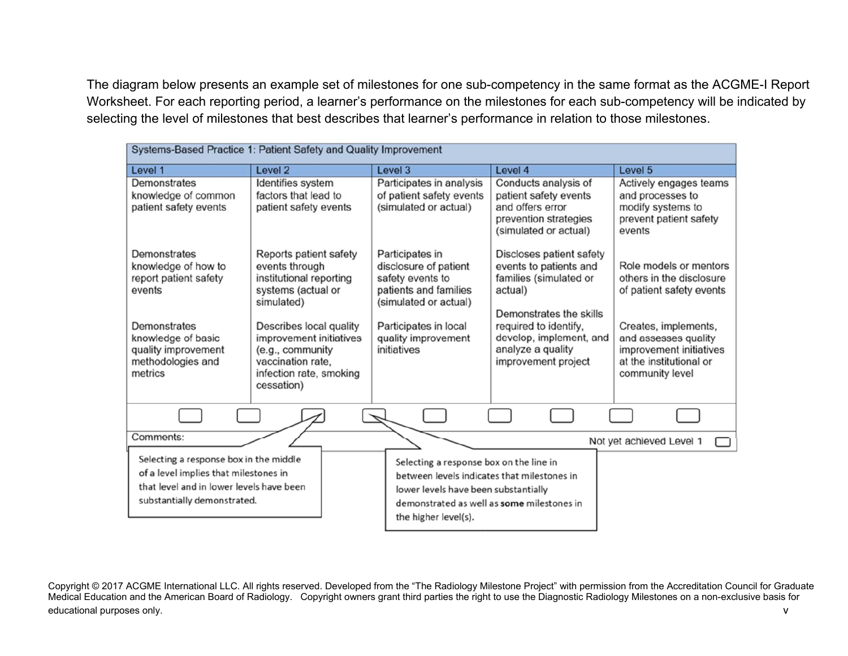The diagram below presents an example set of milestones for one sub-competency in the same format as the ACGME-I Report Worksheet. For each reporting period, a learner's performance on the milestones for each sub-competency will be indicated by selecting the level of milestones that best describes that learner's performance in relation to those milestones.

| Systems-Based Practice 1: Patient Safety and Quality Improvement                                                                                           |                                                                                                                                      |                                                                                                                                                                                                      |                                                                                                                     |                                                                                                                       |
|------------------------------------------------------------------------------------------------------------------------------------------------------------|--------------------------------------------------------------------------------------------------------------------------------------|------------------------------------------------------------------------------------------------------------------------------------------------------------------------------------------------------|---------------------------------------------------------------------------------------------------------------------|-----------------------------------------------------------------------------------------------------------------------|
| Level 1                                                                                                                                                    | Level <sub>2</sub>                                                                                                                   | Level 3                                                                                                                                                                                              | Level 4                                                                                                             | Level 5                                                                                                               |
| Demonstrates<br>knowledge of common<br>patient safety events                                                                                               | Identifies system<br>factors that lead to<br>patient safety events                                                                   | Participates in analysis<br>of patient safety events<br>(simulated or actual)                                                                                                                        | Conducts analysis of<br>patient safety events<br>and offers error<br>prevention strategies<br>(simulated or actual) | Actively engages teams<br>and processes to<br>modify systems to<br>prevent patient safety<br>events                   |
| Demonstrates<br>knowledge of how to<br>report patient safety<br>events                                                                                     | Reports patient safety<br>events through<br>institutional reporting<br>systems (actual or<br>simulated)                              | Participates in<br>disclosure of patient<br>safety events to<br>patients and families<br>(simulated or actual)                                                                                       | Discloses patient safety<br>events to patients and<br>families (simulated or<br>actual)<br>Demonstrates the skills  | Role models or mentors<br>others in the disclosure<br>of patient safety events                                        |
| Demonstrates<br>knowledge of basic<br>quality improvement<br>methodologies and<br>metrics                                                                  | Describes local quality<br>improvement initiatives<br>(e.g., community<br>vaccination rate.<br>infection rate, smoking<br>cessation) | Participates in local<br>quality improvement<br>initiatives                                                                                                                                          | required to identify,<br>develop, implement, and<br>analyze a quality<br>improvement project                        | Creates, implements,<br>and assesses quality<br>improvement initiatives<br>at the institutional or<br>community level |
|                                                                                                                                                            |                                                                                                                                      |                                                                                                                                                                                                      |                                                                                                                     |                                                                                                                       |
| Comments:                                                                                                                                                  |                                                                                                                                      |                                                                                                                                                                                                      |                                                                                                                     | Not yet achieved Level 1                                                                                              |
| Selecting a response box in the middle<br>of a level implies that milestones in<br>that level and in lower levels have been<br>substantially demonstrated. |                                                                                                                                      | Selecting a response box on the line in<br>between levels indicates that milestones in<br>lower levels have been substantially<br>demonstrated as well as some milestones in<br>the higher level(s). |                                                                                                                     |                                                                                                                       |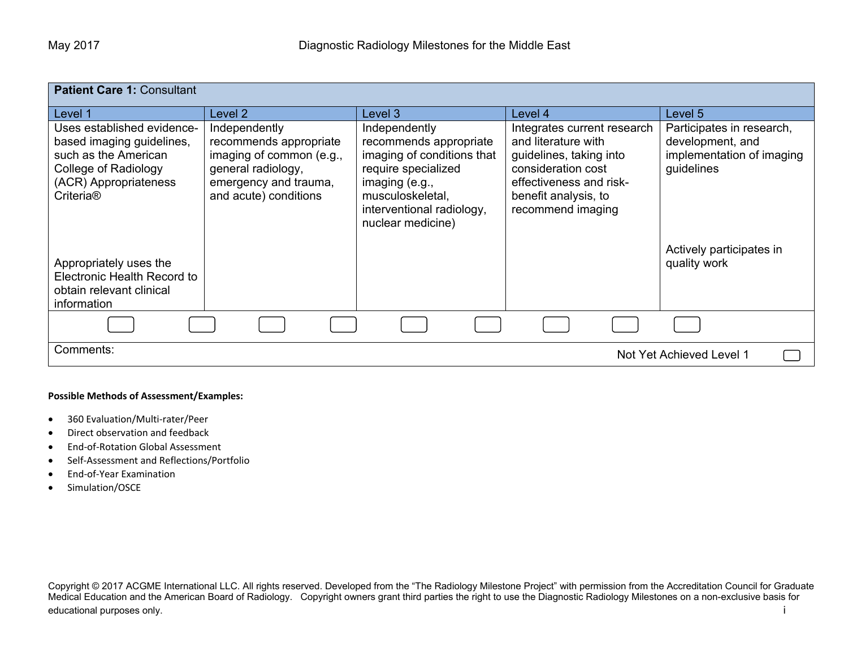| <b>Patient Care 1: Consultant</b>                                                                                                                         |                                                                                                                                             |                                                                                                                                                                                      |                                                                                                                                                                             |                                                                                          |
|-----------------------------------------------------------------------------------------------------------------------------------------------------------|---------------------------------------------------------------------------------------------------------------------------------------------|--------------------------------------------------------------------------------------------------------------------------------------------------------------------------------------|-----------------------------------------------------------------------------------------------------------------------------------------------------------------------------|------------------------------------------------------------------------------------------|
| Level 1                                                                                                                                                   | Level 2                                                                                                                                     | Level 3                                                                                                                                                                              | Level 4                                                                                                                                                                     | Level 5                                                                                  |
| Uses established evidence-<br>based imaging guidelines,<br>such as the American<br>College of Radiology<br>(ACR) Appropriateness<br>Criteria <sup>®</sup> | Independently<br>recommends appropriate<br>imaging of common (e.g.,<br>general radiology,<br>emergency and trauma,<br>and acute) conditions | Independently<br>recommends appropriate<br>imaging of conditions that<br>require specialized<br>imaging (e.g.,<br>musculoskeletal,<br>interventional radiology,<br>nuclear medicine) | Integrates current research<br>and literature with<br>guidelines, taking into<br>consideration cost<br>effectiveness and risk-<br>benefit analysis, to<br>recommend imaging | Participates in research,<br>development, and<br>implementation of imaging<br>guidelines |
| Appropriately uses the<br>Electronic Health Record to<br>obtain relevant clinical<br>information                                                          |                                                                                                                                             |                                                                                                                                                                                      |                                                                                                                                                                             | Actively participates in<br>quality work                                                 |
|                                                                                                                                                           |                                                                                                                                             |                                                                                                                                                                                      |                                                                                                                                                                             |                                                                                          |
| Comments:<br>Not Yet Achieved Level 1                                                                                                                     |                                                                                                                                             |                                                                                                                                                                                      |                                                                                                                                                                             |                                                                                          |

#### **Possible Methods of Assessment/Examples:**

- $\bullet$ 360 Evaluation/Multi‐rater/Peer
- $\bullet$ Direct observation and feedback
- $\bullet$ End‐of‐Rotation Global Assessment
- $\bullet$ Self‐Assessment and Reflections/Portfolio
- $\bullet$ End‐of‐Year Examination
- $\bullet$ Simulation/OSCE

Copyright © 2017 ACGME International LLC. All rights reserved. Developed from the "The Radiology Milestone Project" with permission from the Accreditation Council for Graduate Medical Education and the American Board of Radiology. Copyright owners grant third parties the right to use the Diagnostic Radiology Milestones on a non-exclusive basis for educational purposes only. **i** intervals the control of the control of the control of the control of the control of the control of the control of the control of the control of the control of the control of the control of t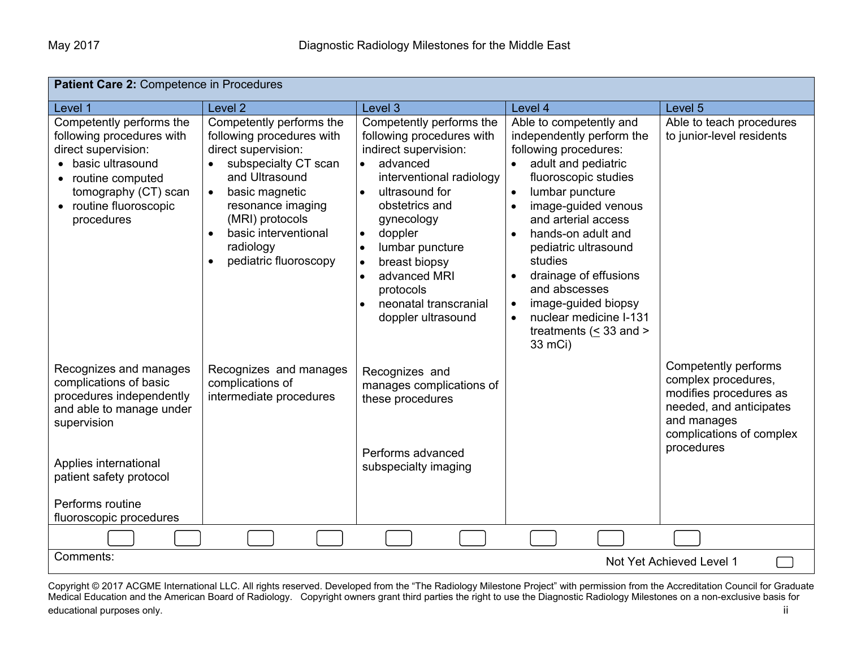| Patient Care 2: Competence in Procedures                                                                                                                                                                                   |                                                                                                                                                                                                                                                                          |                                                                                                                                                                                                                                                                                                                                                                                   |                                                                                                                                                                                                                                                                                                                                                                                                                                     |                                                                                                                                                           |
|----------------------------------------------------------------------------------------------------------------------------------------------------------------------------------------------------------------------------|--------------------------------------------------------------------------------------------------------------------------------------------------------------------------------------------------------------------------------------------------------------------------|-----------------------------------------------------------------------------------------------------------------------------------------------------------------------------------------------------------------------------------------------------------------------------------------------------------------------------------------------------------------------------------|-------------------------------------------------------------------------------------------------------------------------------------------------------------------------------------------------------------------------------------------------------------------------------------------------------------------------------------------------------------------------------------------------------------------------------------|-----------------------------------------------------------------------------------------------------------------------------------------------------------|
| Level 1                                                                                                                                                                                                                    | Level <sub>2</sub>                                                                                                                                                                                                                                                       | Level 3                                                                                                                                                                                                                                                                                                                                                                           | Level 4                                                                                                                                                                                                                                                                                                                                                                                                                             | Level 5                                                                                                                                                   |
| Competently performs the<br>following procedures with<br>direct supervision:<br>• basic ultrasound<br>routine computed<br>tomography (CT) scan<br>• routine fluoroscopic<br>procedures                                     | Competently performs the<br>following procedures with<br>direct supervision:<br>subspecialty CT scan<br>and Ultrasound<br>basic magnetic<br>$\bullet$<br>resonance imaging<br>(MRI) protocols<br>basic interventional<br>$\bullet$<br>radiology<br>pediatric fluoroscopy | Competently performs the<br>following procedures with<br>indirect supervision:<br>advanced<br>interventional radiology<br>ultrasound for<br>$\bullet$<br>obstetrics and<br>gynecology<br>doppler<br>$\bullet$<br>lumbar puncture<br>$\bullet$<br>breast biopsy<br>$\bullet$<br>advanced MRI<br>$\bullet$<br>protocols<br>neonatal transcranial<br>$\bullet$<br>doppler ultrasound | Able to competently and<br>independently perform the<br>following procedures:<br>adult and pediatric<br>fluoroscopic studies<br>lumbar puncture<br>image-guided venous<br>and arterial access<br>hands-on adult and<br>pediatric ultrasound<br>studies<br>drainage of effusions<br>$\bullet$<br>and abscesses<br>image-guided biopsy<br>$\bullet$<br>nuclear medicine I-131<br>$\bullet$<br>treatments ( $\leq$ 33 and ><br>33 mCi) | Able to teach procedures<br>to junior-level residents                                                                                                     |
| Recognizes and manages<br>complications of basic<br>procedures independently<br>and able to manage under<br>supervision<br>Applies international<br>patient safety protocol<br>Performs routine<br>fluoroscopic procedures | Recognizes and manages<br>complications of<br>intermediate procedures                                                                                                                                                                                                    | Recognizes and<br>manages complications of<br>these procedures<br>Performs advanced<br>subspecialty imaging                                                                                                                                                                                                                                                                       |                                                                                                                                                                                                                                                                                                                                                                                                                                     | Competently performs<br>complex procedures,<br>modifies procedures as<br>needed, and anticipates<br>and manages<br>complications of complex<br>procedures |
|                                                                                                                                                                                                                            |                                                                                                                                                                                                                                                                          |                                                                                                                                                                                                                                                                                                                                                                                   |                                                                                                                                                                                                                                                                                                                                                                                                                                     |                                                                                                                                                           |
| Comments:                                                                                                                                                                                                                  |                                                                                                                                                                                                                                                                          |                                                                                                                                                                                                                                                                                                                                                                                   |                                                                                                                                                                                                                                                                                                                                                                                                                                     | Not Yet Achieved Level 1                                                                                                                                  |

Copyright © 2017 ACGME International LLC. All rights reserved. Developed from the "The Radiology Milestone Project" with permission from the Accreditation Council for Graduate Medical Education and the American Board of Radiology. Copyright owners grant third parties the right to use the Diagnostic Radiology Milestones on a non-exclusive basis for educational purposes only. The contract of the contract of the contract of the contract of the contract of the contract of the contract of the contract of the contract of the contract of the contract of the contract of the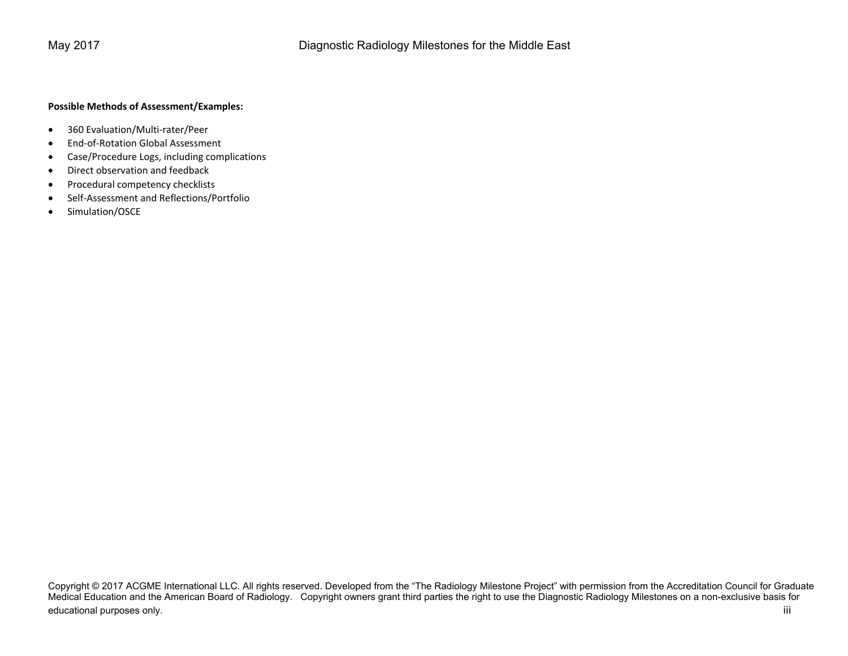## **Possible Methods of Assessment/Examples:**

- $\bullet$ 360 Evaluation/Multi‐rater/Peer
- $\bullet$ End‐of‐Rotation Global Assessment
- $\bullet$ Case/Procedure Logs, including complications
- $\bullet$ Direct observation and feedback
- $\bullet$ Procedural competency checklists
- $\bullet$ Self‐Assessment and Reflections/Portfolio
- $\bullet$ Simulation/OSCE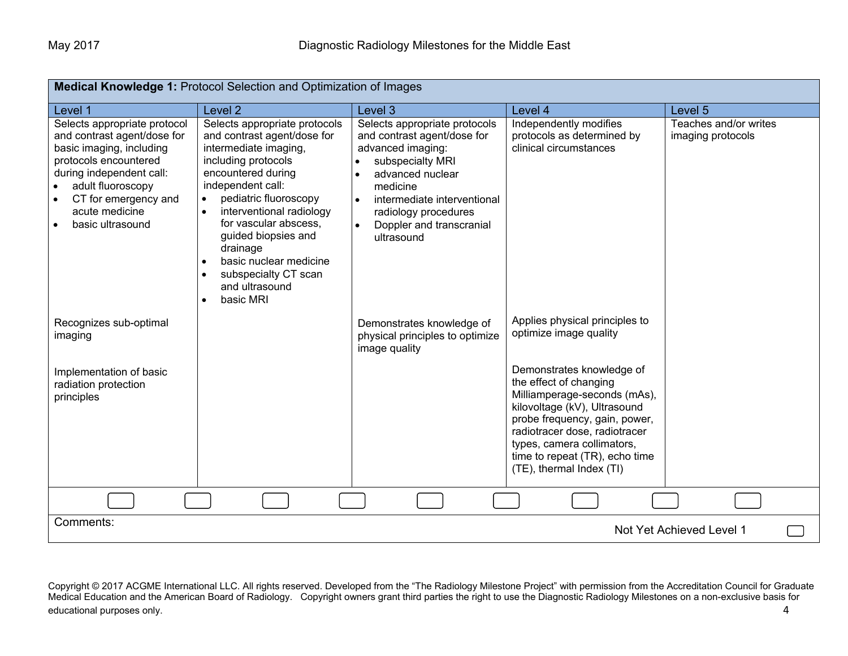| <b>Medical Knowledge 1: Protocol Selection and Optimization of Images</b>                                                                                                                                                                                              |                                                                                                                                                                                                                                                                                                                                                                        |                                                                                                                                                                                                                                        |                                                                                                                                                                                                                                                                                   |                                            |
|------------------------------------------------------------------------------------------------------------------------------------------------------------------------------------------------------------------------------------------------------------------------|------------------------------------------------------------------------------------------------------------------------------------------------------------------------------------------------------------------------------------------------------------------------------------------------------------------------------------------------------------------------|----------------------------------------------------------------------------------------------------------------------------------------------------------------------------------------------------------------------------------------|-----------------------------------------------------------------------------------------------------------------------------------------------------------------------------------------------------------------------------------------------------------------------------------|--------------------------------------------|
| Level 1                                                                                                                                                                                                                                                                | Level <sub>2</sub>                                                                                                                                                                                                                                                                                                                                                     | Level <sub>3</sub>                                                                                                                                                                                                                     | Level 4                                                                                                                                                                                                                                                                           | Level <sub>5</sub>                         |
| Selects appropriate protocol<br>and contrast agent/dose for<br>basic imaging, including<br>protocols encountered<br>during independent call:<br>adult fluoroscopy<br>$\bullet$<br>CT for emergency and<br>$\bullet$<br>acute medicine<br>basic ultrasound<br>$\bullet$ | Selects appropriate protocols<br>and contrast agent/dose for<br>intermediate imaging,<br>including protocols<br>encountered during<br>independent call:<br>pediatric fluoroscopy<br>$\bullet$<br>interventional radiology<br>for vascular abscess.<br>guided biopsies and<br>drainage<br>basic nuclear medicine<br>subspecialty CT scan<br>and ultrasound<br>basic MRI | Selects appropriate protocols<br>and contrast agent/dose for<br>advanced imaging:<br>subspecialty MRI<br>advanced nuclear<br>medicine<br>intermediate interventional<br>radiology procedures<br>Doppler and transcranial<br>ultrasound | Independently modifies<br>protocols as determined by<br>clinical circumstances                                                                                                                                                                                                    | Teaches and/or writes<br>imaging protocols |
| Recognizes sub-optimal<br>imaging                                                                                                                                                                                                                                      |                                                                                                                                                                                                                                                                                                                                                                        | Demonstrates knowledge of<br>physical principles to optimize<br>image quality                                                                                                                                                          | Applies physical principles to<br>optimize image quality                                                                                                                                                                                                                          |                                            |
| Implementation of basic<br>radiation protection<br>principles                                                                                                                                                                                                          |                                                                                                                                                                                                                                                                                                                                                                        |                                                                                                                                                                                                                                        | Demonstrates knowledge of<br>the effect of changing<br>Milliamperage-seconds (mAs),<br>kilovoltage (kV), Ultrasound<br>probe frequency, gain, power,<br>radiotracer dose, radiotracer<br>types, camera collimators,<br>time to repeat (TR), echo time<br>(TE), thermal Index (TI) |                                            |
|                                                                                                                                                                                                                                                                        |                                                                                                                                                                                                                                                                                                                                                                        |                                                                                                                                                                                                                                        |                                                                                                                                                                                                                                                                                   |                                            |
| Comments:<br>Not Yet Achieved Level 1                                                                                                                                                                                                                                  |                                                                                                                                                                                                                                                                                                                                                                        |                                                                                                                                                                                                                                        |                                                                                                                                                                                                                                                                                   |                                            |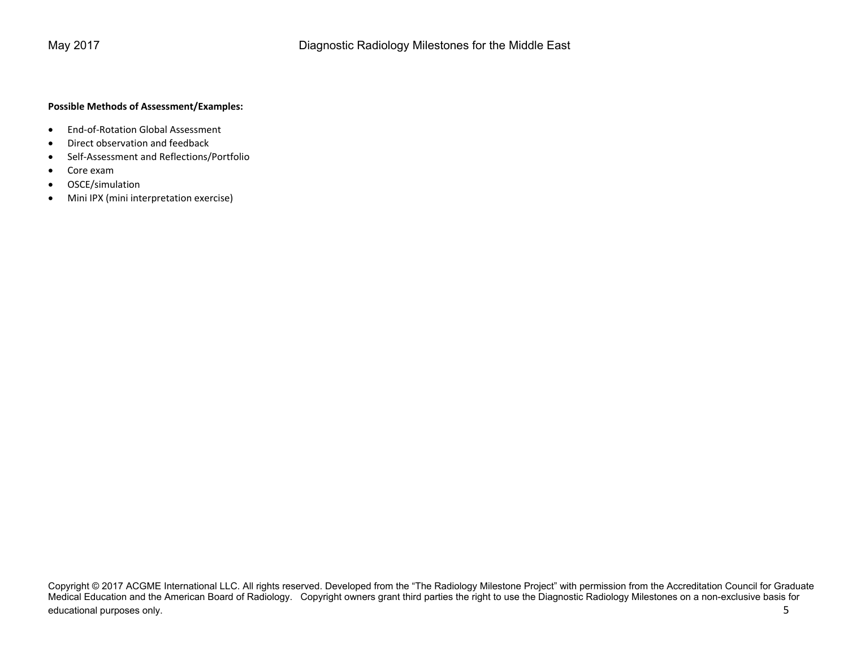## **Possible Methods of Assessment/Examples:**

- $\bullet$ End‐of‐Rotation Global Assessment
- $\bullet$ Direct observation and feedback
- $\bullet$ Self‐Assessment and Reflections/Portfolio
- $\bullet$ Core exam
- $\bullet$ OSCE/simulation
- $\bullet$ Mini IPX (mini interpretation exercise)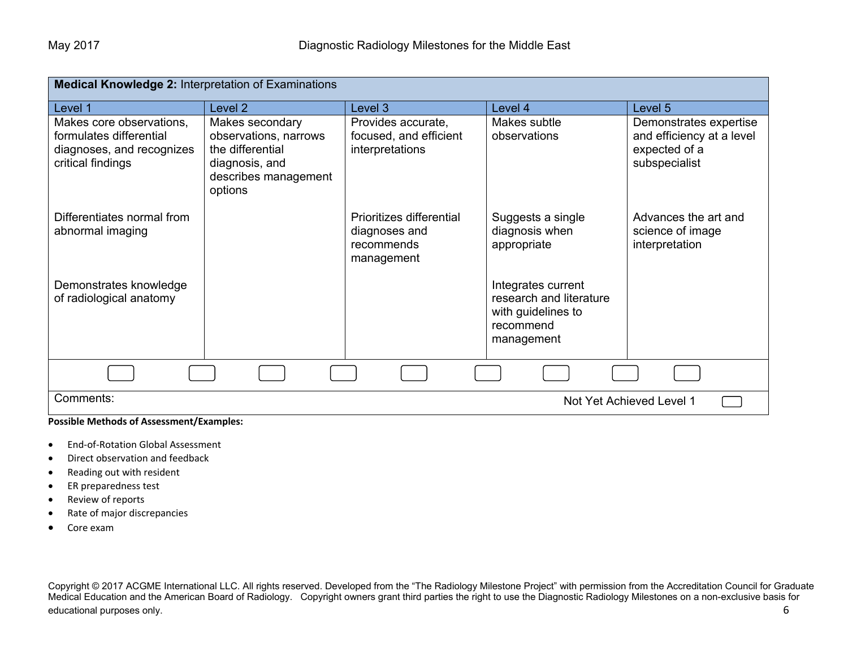| <b>Medical Knowledge 2: Interpretation of Examinations</b>                                            |                                                                                                                   |                                                                       |                                                                                                |                                                                                       |
|-------------------------------------------------------------------------------------------------------|-------------------------------------------------------------------------------------------------------------------|-----------------------------------------------------------------------|------------------------------------------------------------------------------------------------|---------------------------------------------------------------------------------------|
| Level 1                                                                                               | Level <sub>2</sub>                                                                                                | Level 3                                                               | Level 4                                                                                        | Level 5                                                                               |
| Makes core observations,<br>formulates differential<br>diagnoses, and recognizes<br>critical findings | Makes secondary<br>observations, narrows<br>the differential<br>diagnosis, and<br>describes management<br>options | Provides accurate,<br>focused, and efficient<br>interpretations       | Makes subtle<br>observations                                                                   | Demonstrates expertise<br>and efficiency at a level<br>expected of a<br>subspecialist |
| Differentiates normal from<br>abnormal imaging                                                        |                                                                                                                   | Prioritizes differential<br>diagnoses and<br>recommends<br>management | Suggests a single<br>diagnosis when<br>appropriate                                             | Advances the art and<br>science of image<br>interpretation                            |
| Demonstrates knowledge<br>of radiological anatomy                                                     |                                                                                                                   |                                                                       | Integrates current<br>research and literature<br>with guidelines to<br>recommend<br>management |                                                                                       |
|                                                                                                       |                                                                                                                   |                                                                       |                                                                                                |                                                                                       |
| Comments:<br>Not Yet Achieved Level 1                                                                 |                                                                                                                   |                                                                       |                                                                                                |                                                                                       |

## **Possible Methods of Assessment/Examples:**

- $\bullet$ End‐of‐Rotation Global Assessment
- $\bullet$ Direct observation and feedback
- $\bullet$ Reading out with resident
- $\bullet$ ER preparedness test
- $\bullet$ Review of reports
- $\bullet$ Rate of major discrepancies
- $\bullet$ Core exam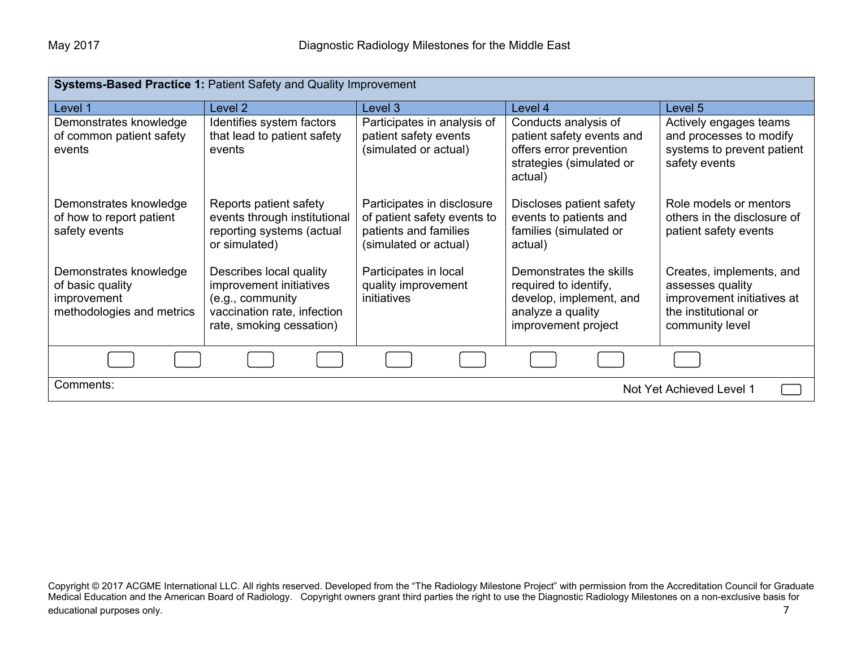| Systems-Based Practice 1: Patient Safety and Quality Improvement                       |                                                                                                                                   |                                                                                                             |                                                                                                                         |                                                                                                                       |  |
|----------------------------------------------------------------------------------------|-----------------------------------------------------------------------------------------------------------------------------------|-------------------------------------------------------------------------------------------------------------|-------------------------------------------------------------------------------------------------------------------------|-----------------------------------------------------------------------------------------------------------------------|--|
| Level 1                                                                                | Level 2                                                                                                                           | Level 3                                                                                                     | Level 4                                                                                                                 | Level 5                                                                                                               |  |
| Demonstrates knowledge<br>of common patient safety<br>events                           | Identifies system factors<br>that lead to patient safety<br>events                                                                | Participates in analysis of<br>patient safety events<br>(simulated or actual)                               | Conducts analysis of<br>patient safety events and<br>offers error prevention<br>strategies (simulated or<br>actual)     | Actively engages teams<br>and processes to modify<br>systems to prevent patient<br>safety events                      |  |
| Demonstrates knowledge<br>of how to report patient<br>safety events                    | Reports patient safety<br>events through institutional<br>reporting systems (actual<br>or simulated)                              | Participates in disclosure<br>of patient safety events to<br>patients and families<br>(simulated or actual) | Discloses patient safety<br>events to patients and<br>families (simulated or<br>actual)                                 | Role models or mentors<br>others in the disclosure of<br>patient safety events                                        |  |
| Demonstrates knowledge<br>of basic quality<br>improvement<br>methodologies and metrics | Describes local quality<br>improvement initiatives<br>(e.g., community<br>vaccination rate, infection<br>rate, smoking cessation) | Participates in local<br>quality improvement<br>initiatives                                                 | Demonstrates the skills<br>required to identify,<br>develop, implement, and<br>analyze a quality<br>improvement project | Creates, implements, and<br>assesses quality<br>improvement initiatives at<br>the institutional or<br>community level |  |
|                                                                                        |                                                                                                                                   |                                                                                                             |                                                                                                                         |                                                                                                                       |  |
| Comments:<br>Not Yet Achieved Level 1                                                  |                                                                                                                                   |                                                                                                             |                                                                                                                         |                                                                                                                       |  |

Copyright © 2017 ACGME International LLC. All rights reserved. Developed from the "The Radiology Milestone Project" with permission from the Accreditation Council for Graduate Medical Education and the American Board of Radiology. Copyright owners grant third parties the right to use the Diagnostic Radiology Milestones on a non-exclusive basis for educational purposes only. The contract of the contract of the contract of the contract of the contract of the contract of the contract of the contract of the contract of the contract of the contract of the contract of the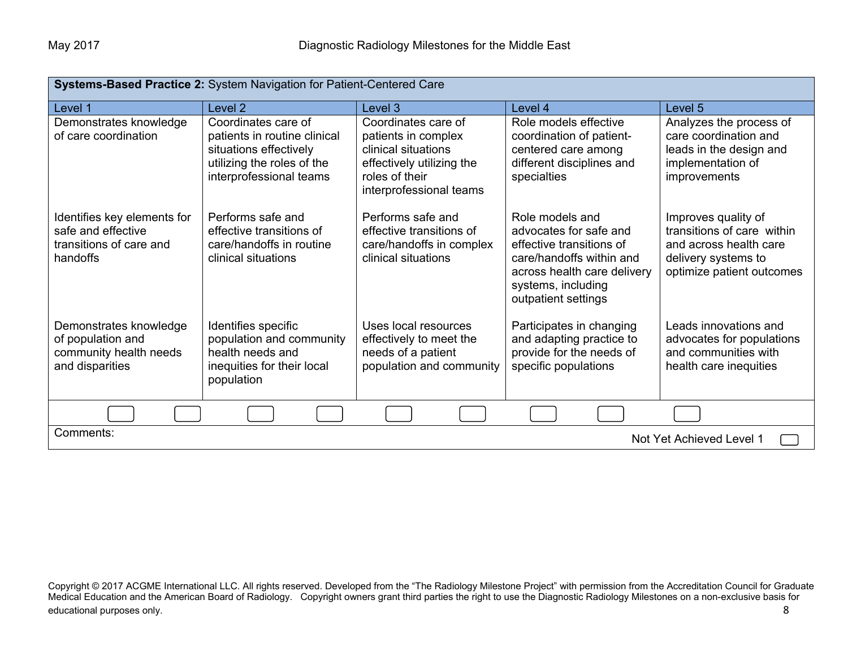| Systems-Based Practice 2: System Navigation for Patient-Centered Care                    |                                                                                                                                        |                                                                                                                                             |                                                                                                                                                                               |                                                                                                                                 |
|------------------------------------------------------------------------------------------|----------------------------------------------------------------------------------------------------------------------------------------|---------------------------------------------------------------------------------------------------------------------------------------------|-------------------------------------------------------------------------------------------------------------------------------------------------------------------------------|---------------------------------------------------------------------------------------------------------------------------------|
| Level 1                                                                                  | Level 2                                                                                                                                | Level 3                                                                                                                                     | Level 4                                                                                                                                                                       | Level 5                                                                                                                         |
| Demonstrates knowledge<br>of care coordination                                           | Coordinates care of<br>patients in routine clinical<br>situations effectively<br>utilizing the roles of the<br>interprofessional teams | Coordinates care of<br>patients in complex<br>clinical situations<br>effectively utilizing the<br>roles of their<br>interprofessional teams | Role models effective<br>coordination of patient-<br>centered care among<br>different disciplines and<br>specialties                                                          | Analyzes the process of<br>care coordination and<br>leads in the design and<br>implementation of<br>improvements                |
| Identifies key elements for<br>safe and effective<br>transitions of care and<br>handoffs | Performs safe and<br>effective transitions of<br>care/handoffs in routine<br>clinical situations                                       | Performs safe and<br>effective transitions of<br>care/handoffs in complex<br>clinical situations                                            | Role models and<br>advocates for safe and<br>effective transitions of<br>care/handoffs within and<br>across health care delivery<br>systems, including<br>outpatient settings | Improves quality of<br>transitions of care within<br>and across health care<br>delivery systems to<br>optimize patient outcomes |
| Demonstrates knowledge<br>of population and<br>community health needs<br>and disparities | Identifies specific<br>population and community<br>health needs and<br>inequities for their local<br>population                        | Uses local resources<br>effectively to meet the<br>needs of a patient<br>population and community                                           | Participates in changing<br>and adapting practice to<br>provide for the needs of<br>specific populations                                                                      | Leads innovations and<br>advocates for populations<br>and communities with<br>health care inequities                            |
|                                                                                          |                                                                                                                                        |                                                                                                                                             |                                                                                                                                                                               |                                                                                                                                 |
| Comments:<br>Not Yet Achieved Level 1                                                    |                                                                                                                                        |                                                                                                                                             |                                                                                                                                                                               |                                                                                                                                 |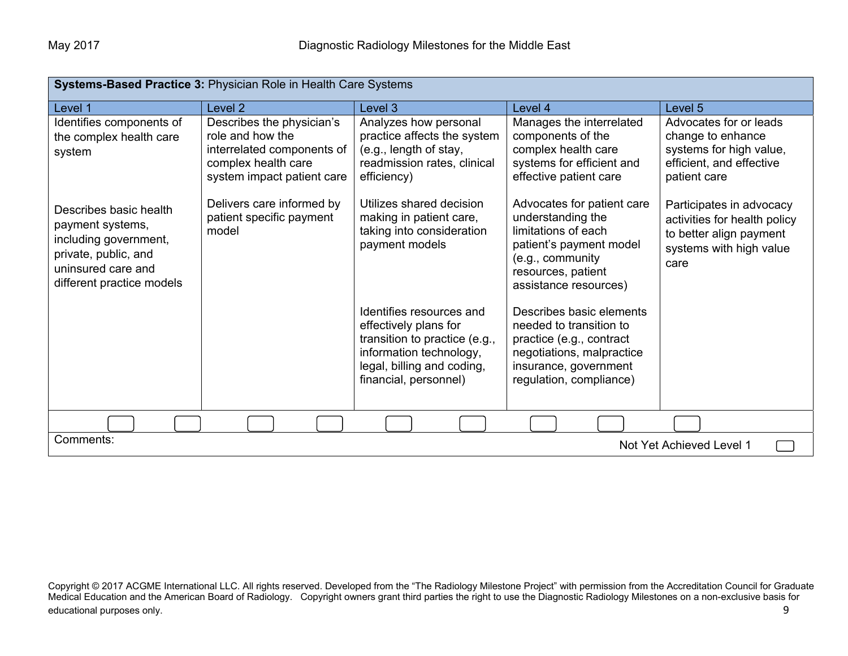| Systems-Based Practice 3: Physician Role in Health Care Systems                                                                                |                                                                                                                                  |                                                                                                                                                                      |                                                                                                                                                                      |                                                                                                                        |
|------------------------------------------------------------------------------------------------------------------------------------------------|----------------------------------------------------------------------------------------------------------------------------------|----------------------------------------------------------------------------------------------------------------------------------------------------------------------|----------------------------------------------------------------------------------------------------------------------------------------------------------------------|------------------------------------------------------------------------------------------------------------------------|
| Level 1                                                                                                                                        | Level 2                                                                                                                          | Level 3                                                                                                                                                              | Level 4                                                                                                                                                              | Level 5                                                                                                                |
| Identifies components of<br>the complex health care<br>system                                                                                  | Describes the physician's<br>role and how the<br>interrelated components of<br>complex health care<br>system impact patient care | Analyzes how personal<br>practice affects the system<br>(e.g., length of stay,<br>readmission rates, clinical<br>efficiency)                                         | Manages the interrelated<br>components of the<br>complex health care<br>systems for efficient and<br>effective patient care                                          | Advocates for or leads<br>change to enhance<br>systems for high value,<br>efficient, and effective<br>patient care     |
| Describes basic health<br>payment systems,<br>including government,<br>private, public, and<br>uninsured care and<br>different practice models | Delivers care informed by<br>patient specific payment<br>model                                                                   | Utilizes shared decision<br>making in patient care,<br>taking into consideration<br>payment models                                                                   | Advocates for patient care<br>understanding the<br>limitations of each<br>patient's payment model<br>(e.g., community<br>resources, patient<br>assistance resources) | Participates in advocacy<br>activities for health policy<br>to better align payment<br>systems with high value<br>care |
|                                                                                                                                                |                                                                                                                                  | Identifies resources and<br>effectively plans for<br>transition to practice (e.g.,<br>information technology,<br>legal, billing and coding,<br>financial, personnel) | Describes basic elements<br>needed to transition to<br>practice (e.g., contract<br>negotiations, malpractice<br>insurance, government<br>regulation, compliance)     |                                                                                                                        |
|                                                                                                                                                |                                                                                                                                  |                                                                                                                                                                      |                                                                                                                                                                      |                                                                                                                        |
| Comments:<br>Not Yet Achieved Level 1                                                                                                          |                                                                                                                                  |                                                                                                                                                                      |                                                                                                                                                                      |                                                                                                                        |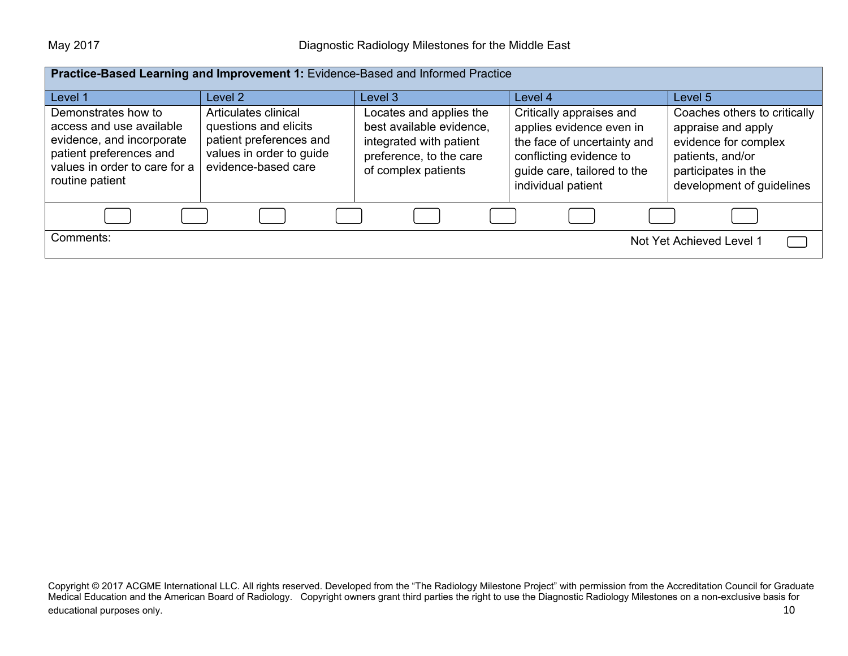| Practice-Based Learning and Improvement 1: Evidence-Based and Informed Practice                                                                             |                                                                                                                             |                                                                                                                                  |                                                                                                                                                                     |                                                                                                                                                    |
|-------------------------------------------------------------------------------------------------------------------------------------------------------------|-----------------------------------------------------------------------------------------------------------------------------|----------------------------------------------------------------------------------------------------------------------------------|---------------------------------------------------------------------------------------------------------------------------------------------------------------------|----------------------------------------------------------------------------------------------------------------------------------------------------|
| Level 1                                                                                                                                                     | Level 2                                                                                                                     | Level 3                                                                                                                          | Level 4                                                                                                                                                             | Level 5                                                                                                                                            |
| Demonstrates how to<br>access and use available<br>evidence, and incorporate<br>patient preferences and<br>values in order to care for a<br>routine patient | Articulates clinical<br>questions and elicits<br>patient preferences and<br>values in order to guide<br>evidence-based care | Locates and applies the<br>best available evidence,<br>integrated with patient<br>preference, to the care<br>of complex patients | Critically appraises and<br>applies evidence even in<br>the face of uncertainty and<br>conflicting evidence to<br>guide care, tailored to the<br>individual patient | Coaches others to critically<br>appraise and apply<br>evidence for complex<br>patients, and/or<br>participates in the<br>development of guidelines |
|                                                                                                                                                             |                                                                                                                             |                                                                                                                                  |                                                                                                                                                                     |                                                                                                                                                    |
| Comments:<br>Not Yet Achieved Level 1                                                                                                                       |                                                                                                                             |                                                                                                                                  |                                                                                                                                                                     |                                                                                                                                                    |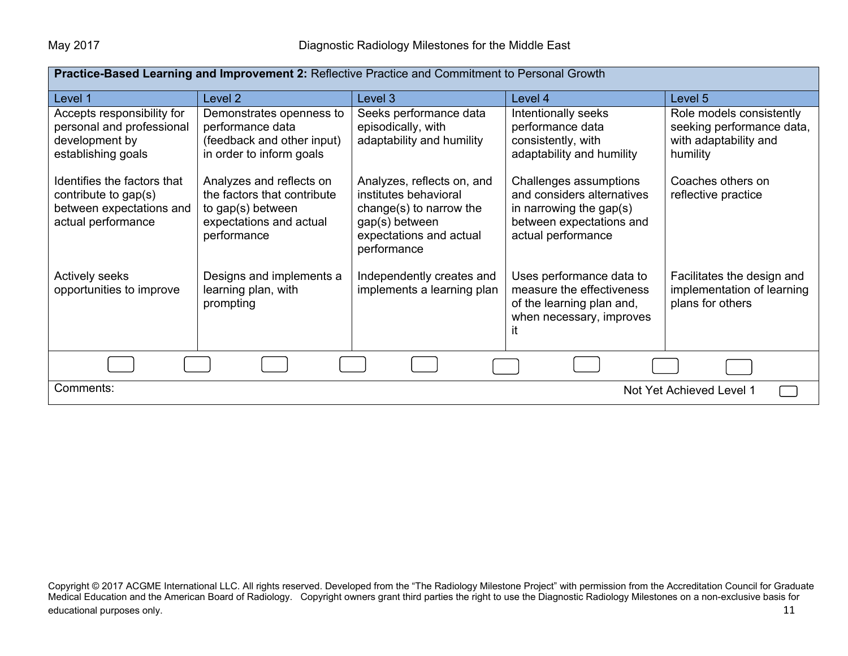| Practice-Based Learning and Improvement 2: Reflective Practice and Commitment to Personal Growth      |                                                                                                                        |                                                                                                                                            |                                                                                                                                      |                                                                                            |
|-------------------------------------------------------------------------------------------------------|------------------------------------------------------------------------------------------------------------------------|--------------------------------------------------------------------------------------------------------------------------------------------|--------------------------------------------------------------------------------------------------------------------------------------|--------------------------------------------------------------------------------------------|
| Level 1                                                                                               | Level <sub>2</sub>                                                                                                     | Level 3                                                                                                                                    | Level 4                                                                                                                              | Level 5                                                                                    |
| Accepts responsibility for<br>personal and professional<br>development by<br>establishing goals       | Demonstrates openness to<br>performance data<br>(feedback and other input)<br>in order to inform goals                 | Seeks performance data<br>episodically, with<br>adaptability and humility                                                                  | Intentionally seeks<br>performance data<br>consistently, with<br>adaptability and humility                                           | Role models consistently<br>seeking performance data,<br>with adaptability and<br>humility |
| Identifies the factors that<br>contribute to gap(s)<br>between expectations and<br>actual performance | Analyzes and reflects on<br>the factors that contribute<br>to gap(s) between<br>expectations and actual<br>performance | Analyzes, reflects on, and<br>institutes behavioral<br>change(s) to narrow the<br>gap(s) between<br>expectations and actual<br>performance | Challenges assumptions<br>and considers alternatives<br>in narrowing the gap $(s)$<br>between expectations and<br>actual performance | Coaches others on<br>reflective practice                                                   |
| <b>Actively seeks</b><br>opportunities to improve                                                     | Designs and implements a<br>learning plan, with<br>prompting                                                           | Independently creates and<br>implements a learning plan                                                                                    | Uses performance data to<br>measure the effectiveness<br>of the learning plan and,<br>when necessary, improves<br>it.                | Facilitates the design and<br>implementation of learning<br>plans for others               |
|                                                                                                       |                                                                                                                        |                                                                                                                                            |                                                                                                                                      |                                                                                            |
| Comments:<br>Not Yet Achieved Level 1                                                                 |                                                                                                                        |                                                                                                                                            |                                                                                                                                      |                                                                                            |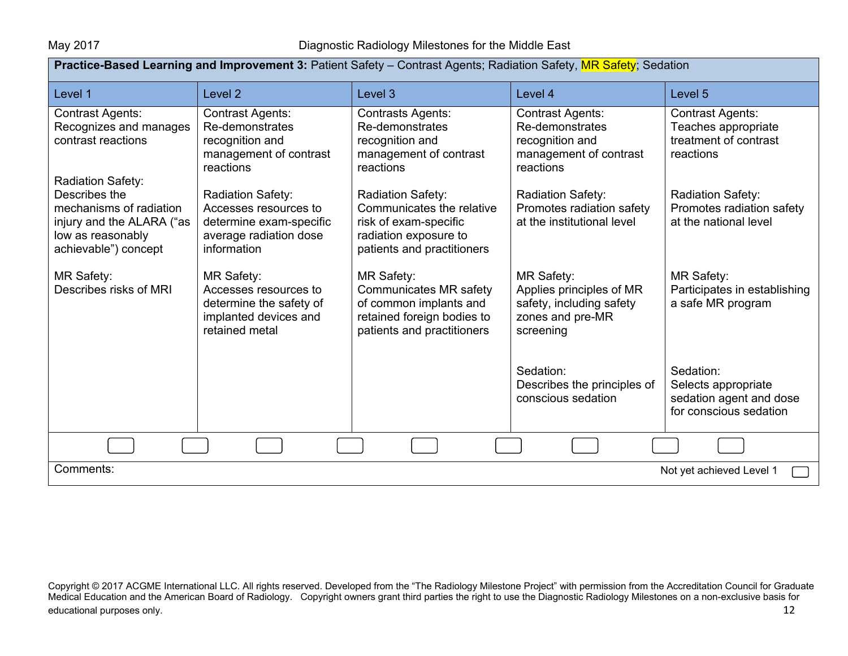| Practice-Based Learning and Improvement 3: Patient Safety - Contrast Agents; Radiation Safety, MR Safety; Sedation |                                                                                                                       |                                                                                                                                   |                                                                                                            |                                                                                       |
|--------------------------------------------------------------------------------------------------------------------|-----------------------------------------------------------------------------------------------------------------------|-----------------------------------------------------------------------------------------------------------------------------------|------------------------------------------------------------------------------------------------------------|---------------------------------------------------------------------------------------|
| Level 1                                                                                                            | Level <sub>2</sub>                                                                                                    | Level 3                                                                                                                           | Level 4                                                                                                    | Level 5                                                                               |
| <b>Contrast Agents:</b><br>Recognizes and manages<br>contrast reactions<br>Radiation Safety:                       | <b>Contrast Agents:</b><br>Re-demonstrates<br>recognition and<br>management of contrast<br>reactions                  | <b>Contrasts Agents:</b><br>Re-demonstrates<br>recognition and<br>management of contrast<br>reactions                             | <b>Contrast Agents:</b><br>Re-demonstrates<br>recognition and<br>management of contrast<br>reactions       | <b>Contrast Agents:</b><br>Teaches appropriate<br>treatment of contrast<br>reactions  |
| Describes the<br>mechanisms of radiation<br>injury and the ALARA ("as<br>low as reasonably<br>achievable") concept | <b>Radiation Safety:</b><br>Accesses resources to<br>determine exam-specific<br>average radiation dose<br>information | Radiation Safety:<br>Communicates the relative<br>risk of exam-specific<br>radiation exposure to<br>patients and practitioners    | <b>Radiation Safety:</b><br>Promotes radiation safety<br>at the institutional level                        | Radiation Safety:<br>Promotes radiation safety<br>at the national level               |
| <b>MR Safety:</b><br>Describes risks of MRI                                                                        | <b>MR Safety:</b><br>Accesses resources to<br>determine the safety of<br>implanted devices and<br>retained metal      | <b>MR Safety:</b><br>Communicates MR safety<br>of common implants and<br>retained foreign bodies to<br>patients and practitioners | <b>MR Safety:</b><br>Applies principles of MR<br>safety, including safety<br>zones and pre-MR<br>screening | <b>MR Safety:</b><br>Participates in establishing<br>a safe MR program                |
|                                                                                                                    |                                                                                                                       |                                                                                                                                   | Sedation:<br>Describes the principles of<br>conscious sedation                                             | Sedation:<br>Selects appropriate<br>sedation agent and dose<br>for conscious sedation |
|                                                                                                                    |                                                                                                                       |                                                                                                                                   |                                                                                                            |                                                                                       |
| Comments:<br>Not yet achieved Level 1                                                                              |                                                                                                                       |                                                                                                                                   |                                                                                                            |                                                                                       |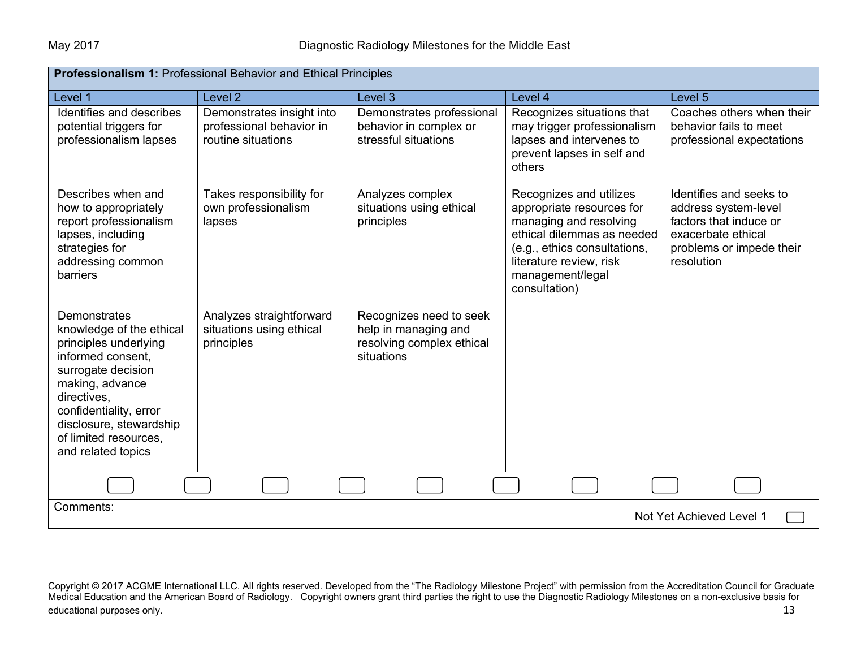| <b>Professionalism 1:</b> Professional Behavior and Ethical Principles                                                                                                                                                                             |                                                                             |                                                                                            |                                                                                                                                                                                                              |                                                                                                                                           |
|----------------------------------------------------------------------------------------------------------------------------------------------------------------------------------------------------------------------------------------------------|-----------------------------------------------------------------------------|--------------------------------------------------------------------------------------------|--------------------------------------------------------------------------------------------------------------------------------------------------------------------------------------------------------------|-------------------------------------------------------------------------------------------------------------------------------------------|
| Level 1                                                                                                                                                                                                                                            | Level <sub>2</sub>                                                          | Level 3                                                                                    | Level 4                                                                                                                                                                                                      | Level <sub>5</sub>                                                                                                                        |
| Identifies and describes<br>potential triggers for<br>professionalism lapses                                                                                                                                                                       | Demonstrates insight into<br>professional behavior in<br>routine situations | Demonstrates professional<br>behavior in complex or<br>stressful situations                | Recognizes situations that<br>may trigger professionalism<br>lapses and intervenes to<br>prevent lapses in self and<br>others                                                                                | Coaches others when their<br>behavior fails to meet<br>professional expectations                                                          |
| Describes when and<br>how to appropriately<br>report professionalism<br>lapses, including<br>strategies for<br>addressing common<br>barriers                                                                                                       | Takes responsibility for<br>own professionalism<br>lapses                   | Analyzes complex<br>situations using ethical<br>principles                                 | Recognizes and utilizes<br>appropriate resources for<br>managing and resolving<br>ethical dilemmas as needed<br>(e.g., ethics consultations,<br>literature review, risk<br>management/legal<br>consultation) | Identifies and seeks to<br>address system-level<br>factors that induce or<br>exacerbate ethical<br>problems or impede their<br>resolution |
| Demonstrates<br>knowledge of the ethical<br>principles underlying<br>informed consent,<br>surrogate decision<br>making, advance<br>directives,<br>confidentiality, error<br>disclosure, stewardship<br>of limited resources,<br>and related topics | Analyzes straightforward<br>situations using ethical<br>principles          | Recognizes need to seek<br>help in managing and<br>resolving complex ethical<br>situations |                                                                                                                                                                                                              |                                                                                                                                           |
|                                                                                                                                                                                                                                                    |                                                                             |                                                                                            |                                                                                                                                                                                                              |                                                                                                                                           |
| Comments:<br>Not Yet Achieved Level 1                                                                                                                                                                                                              |                                                                             |                                                                                            |                                                                                                                                                                                                              |                                                                                                                                           |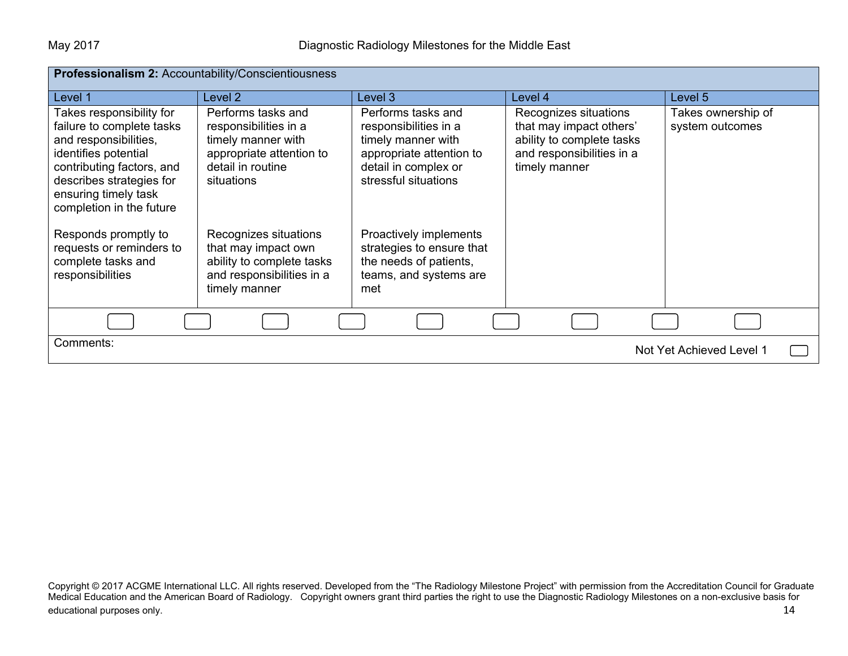| Professionalism 2: Accountability/Conscientiousness                                                                                                                                                                 |                                                                                                                                  |                                                                                                                                               |                                                                                                                             |                                       |
|---------------------------------------------------------------------------------------------------------------------------------------------------------------------------------------------------------------------|----------------------------------------------------------------------------------------------------------------------------------|-----------------------------------------------------------------------------------------------------------------------------------------------|-----------------------------------------------------------------------------------------------------------------------------|---------------------------------------|
| Level 1                                                                                                                                                                                                             | Level 2                                                                                                                          | Level 3                                                                                                                                       | Level 4                                                                                                                     | Level 5                               |
| Takes responsibility for<br>failure to complete tasks<br>and responsibilities,<br>identifies potential<br>contributing factors, and<br>describes strategies for<br>ensuring timely task<br>completion in the future | Performs tasks and<br>responsibilities in a<br>timely manner with<br>appropriate attention to<br>detail in routine<br>situations | Performs tasks and<br>responsibilities in a<br>timely manner with<br>appropriate attention to<br>detail in complex or<br>stressful situations | Recognizes situations<br>that may impact others'<br>ability to complete tasks<br>and responsibilities in a<br>timely manner | Takes ownership of<br>system outcomes |
| Responds promptly to<br>requests or reminders to<br>complete tasks and<br>responsibilities                                                                                                                          | Recognizes situations<br>that may impact own<br>ability to complete tasks<br>and responsibilities in a<br>timely manner          | Proactively implements<br>strategies to ensure that<br>the needs of patients,<br>teams, and systems are<br>met                                |                                                                                                                             |                                       |
|                                                                                                                                                                                                                     |                                                                                                                                  |                                                                                                                                               |                                                                                                                             |                                       |
| Comments:<br>Not Yet Achieved Level 1                                                                                                                                                                               |                                                                                                                                  |                                                                                                                                               |                                                                                                                             |                                       |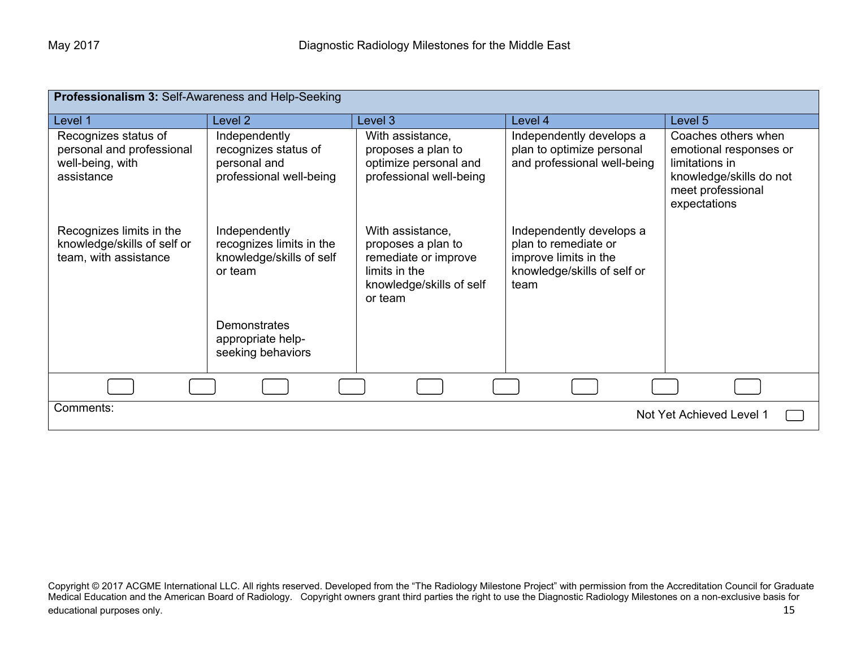| Professionalism 3: Self-Awareness and Help-Seeking                                  |                                                                                  |                                                                                                                        |                                                                                                                  |                                                                                                                                 |
|-------------------------------------------------------------------------------------|----------------------------------------------------------------------------------|------------------------------------------------------------------------------------------------------------------------|------------------------------------------------------------------------------------------------------------------|---------------------------------------------------------------------------------------------------------------------------------|
| Level 1                                                                             | Level 2                                                                          | Level 3                                                                                                                | Level 4                                                                                                          | Level 5                                                                                                                         |
| Recognizes status of<br>personal and professional<br>well-being, with<br>assistance | Independently<br>recognizes status of<br>personal and<br>professional well-being | With assistance,<br>proposes a plan to<br>optimize personal and<br>professional well-being                             | Independently develops a<br>plan to optimize personal<br>and professional well-being                             | Coaches others when<br>emotional responses or<br>limitations in<br>knowledge/skills do not<br>meet professional<br>expectations |
| Recognizes limits in the<br>knowledge/skills of self or<br>team, with assistance    | Independently<br>recognizes limits in the<br>knowledge/skills of self<br>or team | With assistance,<br>proposes a plan to<br>remediate or improve<br>limits in the<br>knowledge/skills of self<br>or team | Independently develops a<br>plan to remediate or<br>improve limits in the<br>knowledge/skills of self or<br>team |                                                                                                                                 |
|                                                                                     | <b>Demonstrates</b><br>appropriate help-<br>seeking behaviors                    |                                                                                                                        |                                                                                                                  |                                                                                                                                 |
|                                                                                     |                                                                                  |                                                                                                                        |                                                                                                                  |                                                                                                                                 |
| Comments:<br>Not Yet Achieved Level 1                                               |                                                                                  |                                                                                                                        |                                                                                                                  |                                                                                                                                 |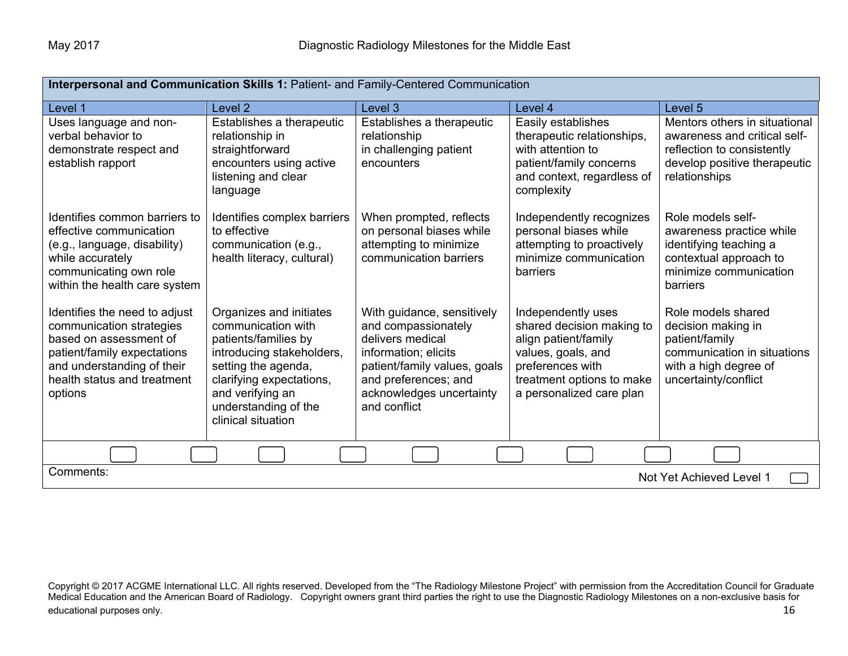| Interpersonal and Communication Skills 1: Patient- and Family-Centered Communication                                                                                                       |                                                                                                                                                                                                                         |                                                                                                                                                                                                   |                                                                                                                                                                            |                                                                                                                                              |
|--------------------------------------------------------------------------------------------------------------------------------------------------------------------------------------------|-------------------------------------------------------------------------------------------------------------------------------------------------------------------------------------------------------------------------|---------------------------------------------------------------------------------------------------------------------------------------------------------------------------------------------------|----------------------------------------------------------------------------------------------------------------------------------------------------------------------------|----------------------------------------------------------------------------------------------------------------------------------------------|
| Level 1                                                                                                                                                                                    | Level <sub>2</sub>                                                                                                                                                                                                      | Level 3                                                                                                                                                                                           | Level 4                                                                                                                                                                    | Level <sub>5</sub>                                                                                                                           |
| Uses language and non-<br>verbal behavior to<br>demonstrate respect and<br>establish rapport                                                                                               | Establishes a therapeutic<br>relationship in<br>straightforward<br>encounters using active<br>listening and clear<br>language                                                                                           | Establishes a therapeutic<br>relationship<br>in challenging patient<br>encounters                                                                                                                 | Easily establishes<br>therapeutic relationships,<br>with attention to<br>patient/family concerns<br>and context, regardless of<br>complexity                               | Mentors others in situational<br>awareness and critical self-<br>reflection to consistently<br>develop positive therapeutic<br>relationships |
| Identifies common barriers to<br>effective communication<br>(e.g., language, disability)<br>while accurately<br>communicating own role<br>within the health care system                    | Identifies complex barriers<br>to effective<br>communication (e.g.,<br>health literacy, cultural)                                                                                                                       | When prompted, reflects<br>on personal biases while<br>attempting to minimize<br>communication barriers                                                                                           | Independently recognizes<br>personal biases while<br>attempting to proactively<br>minimize communication<br>barriers                                                       | Role models self-<br>awareness practice while<br>identifying teaching a<br>contextual approach to<br>minimize communication<br>barriers      |
| Identifies the need to adjust<br>communication strategies<br>based on assessment of<br>patient/family expectations<br>and understanding of their<br>health status and treatment<br>options | Organizes and initiates<br>communication with<br>patients/families by<br>introducing stakeholders,<br>setting the agenda,<br>clarifying expectations,<br>and verifying an<br>understanding of the<br>clinical situation | With guidance, sensitively<br>and compassionately<br>delivers medical<br>information; elicits<br>patient/family values, goals<br>and preferences; and<br>acknowledges uncertainty<br>and conflict | Independently uses<br>shared decision making to<br>align patient/family<br>values, goals, and<br>preferences with<br>treatment options to make<br>a personalized care plan | Role models shared<br>decision making in<br>patient/family<br>communication in situations<br>with a high degree of<br>uncertainty/conflict   |
|                                                                                                                                                                                            |                                                                                                                                                                                                                         |                                                                                                                                                                                                   |                                                                                                                                                                            |                                                                                                                                              |
| Comments:<br>Not Yet Achieved Level 1                                                                                                                                                      |                                                                                                                                                                                                                         |                                                                                                                                                                                                   |                                                                                                                                                                            |                                                                                                                                              |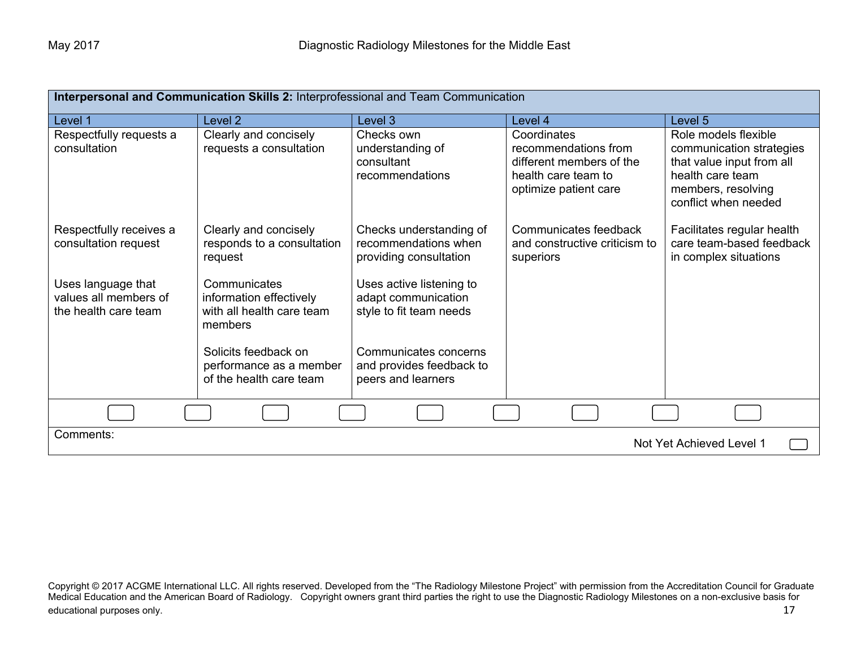| Interpersonal and Communication Skills 2: Interprofessional and Team Communication |                                                                                 |                                                                            |                                                                                                                 |                                                                                                                                                 |
|------------------------------------------------------------------------------------|---------------------------------------------------------------------------------|----------------------------------------------------------------------------|-----------------------------------------------------------------------------------------------------------------|-------------------------------------------------------------------------------------------------------------------------------------------------|
| Level 1                                                                            | Level 2                                                                         | Level 3                                                                    | Level 4                                                                                                         | Level 5                                                                                                                                         |
| Respectfully requests a<br>consultation                                            | Clearly and concisely<br>requests a consultation                                | Checks own<br>understanding of<br>consultant<br>recommendations            | Coordinates<br>recommendations from<br>different members of the<br>health care team to<br>optimize patient care | Role models flexible<br>communication strategies<br>that value input from all<br>health care team<br>members, resolving<br>conflict when needed |
| Respectfully receives a<br>consultation request                                    | Clearly and concisely<br>responds to a consultation<br>request                  | Checks understanding of<br>recommendations when<br>providing consultation  | Communicates feedback<br>and constructive criticism to<br>superiors                                             | Facilitates regular health<br>care team-based feedback<br>in complex situations                                                                 |
| Uses language that<br>values all members of<br>the health care team                | Communicates<br>information effectively<br>with all health care team<br>members | Uses active listening to<br>adapt communication<br>style to fit team needs |                                                                                                                 |                                                                                                                                                 |
|                                                                                    | Solicits feedback on<br>performance as a member<br>of the health care team      | Communicates concerns<br>and provides feedback to<br>peers and learners    |                                                                                                                 |                                                                                                                                                 |
|                                                                                    |                                                                                 |                                                                            |                                                                                                                 |                                                                                                                                                 |
| Comments:<br>Not Yet Achieved Level 1                                              |                                                                                 |                                                                            |                                                                                                                 |                                                                                                                                                 |